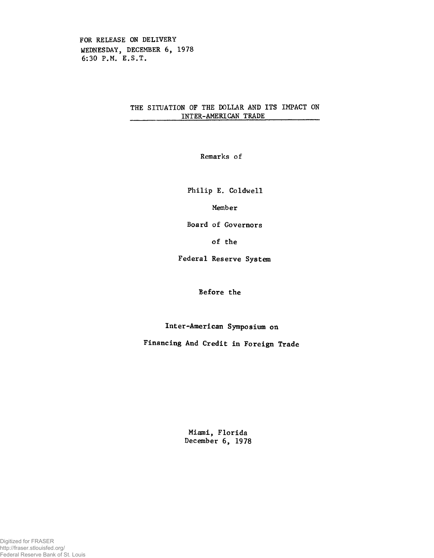FOR RELEASE ON DELIVERY WEDNESDAY, DECEMBER 6, 1978 6:30 P.M. E.S.T.

## THE SITUATION OF THE DOLLAR AND ITS IMPACT ON INTER-AMERICAN TRADE\_\_\_\_\_\_\_\_\_\_\_\_\_\_

Remarks of

Philip E. Coldwell

Member

Board of Governors

of the

Federal Reserve System

Before the

Inter-American Symposium on

Financing And Credit in Foreign Trade

Miami, Florida December 6, 1978

Digitized for FRASER http://fraser.stlouisfed.org/ Federal Reserve Bank of St. Louis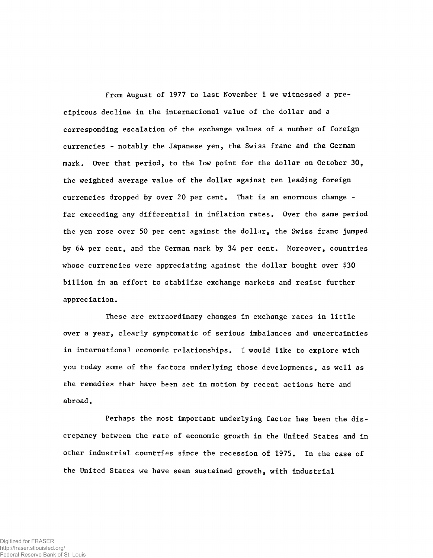From August of 1977 to last November 1 we witnessed a precipitous decline in the international value of the dollar and a corresponding escalation of the exchange values of a number of foreign currencies - notably the Japanese yen, the Swiss franc and the German mark. Over that period, to the low point for the dollar on October 30, the weighted average value of the dollar against ten leading foreign currencies dropped by over 20 per cent. That is an enormous change far exceeding any differential in inflation rates. Over the same period the yen rose over 50 per cent against the dollar, the Swiss franc jumped by 64 per ccnt, and the German mark by 34 per cent. Moreover, countries whose currencies were appreciating against the dollar bought over \$30 billion in an effort to stabilize exchange markets and resist further appreciation.

These are extraordinary changes in exchange rates in little over a year, clearly symptomatic of serious imbalances and uncertainties in international economic relationships. I would like to explore with you today some of the factors underlying those developments, as well as the remedies that have been set in motion by recent actions here and abroad.

Perhaps the most important underlying factor has been the discrepancy between the rate of economic growth in the United States and in other industrial countries since the recession of 1975. In the case of the United States we have seen sustained growth, with industrial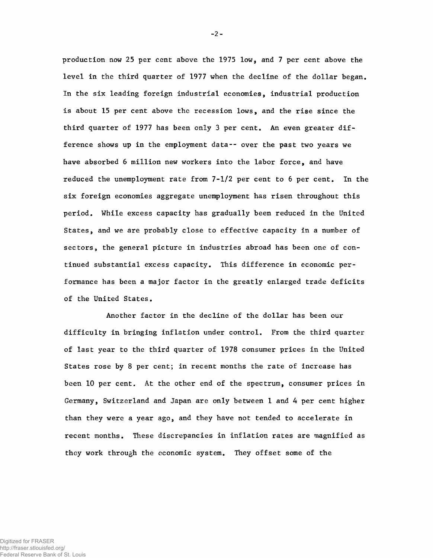production now 25 per cent above the 1975 low, and 7 per cent above the level in the third quarter of 1977 when the decline of the dollar began. In the six leading foreign industrial economies, industrial production is about 15 per cent above the recession lows, and the rise since the third quarter of 1977 has been only 3 per cent. An even greater difference shows up in the employment data-- over the past two years we have absorbed 6 million new workers into the labor force, and have reduced the unemployment rate from 7-1/2 per cent to 6 per cent. In the six foreign economies aggregate unemployment has risen throughout this period. While excess capacity has gradually been reduced in the United States, and we are probably close to effective capacity in a number of sectors, the general picture in industries abroad has been one of continued substantial excess capacity. This difference in economic performance has been a major factor in the greatly enlarged trade deficits of the United States.

 $-2-$ 

Another factor in the decline of the dollar has been our difficulty in bringing inflation under control. From the third quarter of last year to the third quarter of 1978 consumer prices in the United States rose by 8 per cent; in recent months the rate of increase has been 10 per cent. At the other end of the spectrum, consumer prices in Germany, Switzerland and Japan are only between 1 and 4 per cent higher than they were a year ago, and they have not tended to accelerate in recent months. These discrepancies in inflation rates are magnified as they work through the economic system. They offset some of the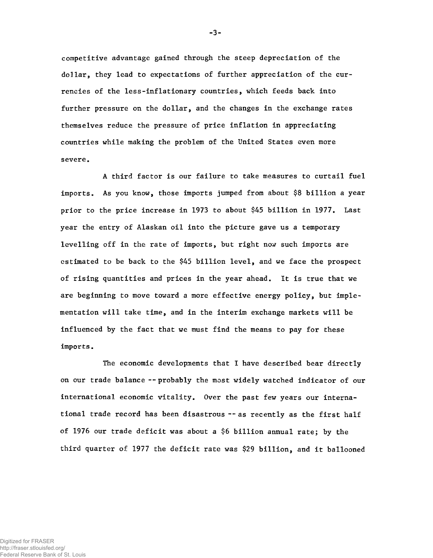competitive advantage gained through the steep depreciation of the dollar, they lead to expectations of further appreciation of the currencies of the less-inflationary countries, which feeds back into further pressure on the dollar, and the changes in the exchange rates themselves reduce the pressure of price inflation in appreciating countries while making the problem of the United States even more severe.

A third factor is our failure to take measures to curtail fuel imports. As you know, those imports jumped from about \$8 billion a year prior to the price increase in 1973 to about \$45 billion in 1977. Last year the entry of Alaskan oil into the picture gave us a temporary levelling off in the rate of imports, but right now such imports are estimated to be back to the \$45 billion level, and we face the prospect of rising quantities and prices in the year ahead. It is true that we are beginning to move toward a more effective energy policy, but implementation will take time, and in the interim exchange markets will be influenced by the fact that we must find the means to pay for these imports.

The economic developments that I have described bear directly on our trade balance --probably the most widely watched indicator of our international economic vitality. Over the past few years our international trade record has been disastrous --as recently as the first half of 1976 our trade deficit was about a \$6 billion annual rate; by the third quarter of 1977 the deficit rate was \$29 billion, and it ballooned

-3-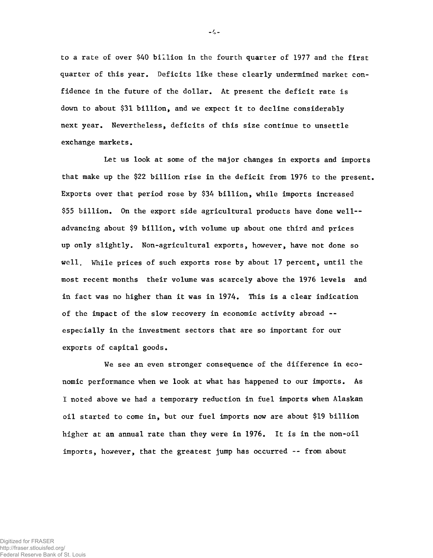to a rate of over \$40 billion in the fourth quarter of 1977 and the first quarter of this year. Deficits like these clearly undermined market confidence in the future of the dollar. At present the deficit rate is down to about \$31 billion, and we expect it to decline considerably next year. Nevertheless, deficits of this size continue to unsettle exchange markets.

Let us look at some of the major changes in exports and imports that make up the \$22 billion rise in the deficit from 1976 to the present. Exports over that period rose by \$34 billion, while imports increased \$55 billion. On the export side agricultural products have done well- advancing about \$9 billion, with volume up about one third and prices up only slightly. Non-agricultural exports, however, have not done so well. While prices of such exports rose by about 17 percent, until the most recent months their volume was scarcely above the 1976 levels and in fact was no higher than it was in 1974, This is a clear indication of the impact of the slow recovery in economic activity abroad - especially in the investment sectors that are so important for our exports of capital goods.

We see an even stronger consequence of the difference in economic performance when we look at what has happened to our imports. As I noted above we had a temporary reduction in fuel imports when Alaskan oil started to come in, but our fuel imports now are about \$19 billion higher at an annual rate than they were in 1976. It is in the non-oil imports, however, that the greatest jump has occurred -- from about

 $-4 -$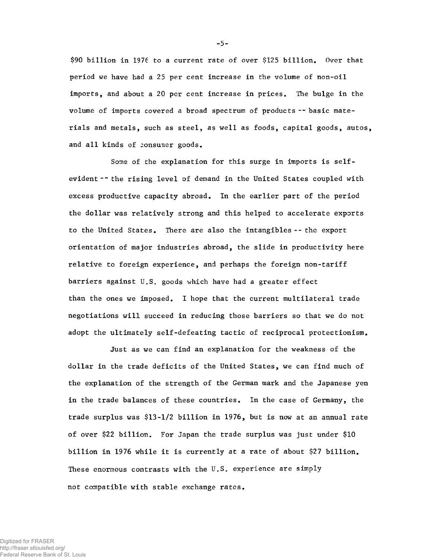\$90 billion in 1976 to a current rate of over \$125 billion. Over that period *we* have had a 25 per cent increase in the volume of non-oil imports, and about a 20 per cent increase in prices. The bulge in the volume of imports covered a broad spectrum of products -- basic materials and metals, such as steel, as well as foods, capital goods, autos, and all kinds of consumer goods.

Some of the explanation for this surge in imports is selfevident -- the rising level of demand in the United States coupled with excess productive capacity abroad. In the earlier part of the period the dollar was relatively strong and this helped to accelerate exports to the United States. There are also the intangibles-- the export orientation of major industries abroad, the slide in productivity here relative to foreign experience, and perhaps the foreign non-tariff barriers against U.S. goods which have had a greater effect than the ones we imposed. I hope that the current multilateral trade negotiations will succeed in reducing those barriers so that we do not adopt the ultimately self-defeating tactic of reciprocal protectionism.

Just as we can find an explanation for the weakness of the dollar in the trade deficits of the United States, we can find much of the explanation of the strength of the German mark and the Japanese yen in the trade balances of these countries. In the case of Germany, the trade surplus was \$13-1/2 billion in 1976, but is now at an annual rate of over \$22 billion. For Japan the trade surplus was just under \$10 billion in 1976 while it is currently at a rate of about \$27 billion. These enormous contrasts with the U.S. experience are simply not compatible with stable exchange rates.

- **5** -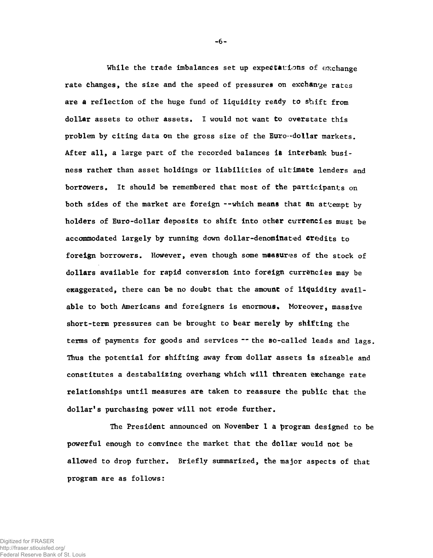While the trade imbalances set up expectations of exchange rate changes, the size and the speed of pressures on exchange rates are  $a$  reflection of the huge fund of liquidity ready to shift from dollar assets to other assets. I would not want to overstate this problem by citing data on the gross size of the Euro--dollar markets. After all, a large part of the recorded balances is interbank business rather than asset holdings or liabilities of ultimate lenders and borrowers. It should be remembered that most of the participants on both sides of the market are foreign --which means that an attempt by holders of Euro-dollar deposits to shift into other currencies must be accommodated largely by running down dollar-denominated credits to foreign borrowers. However, even though some measures of the stock of dollars available for rapid conversion into foreign currencies may be exaggerated, there can be no doubt that the amount of liquidity available to both Americans and foreigners is enormous. Moreover, massive short-term pressures can be brought to bear merely by shifting the terms of payments for goods and services -- the so-called leads and lags. Thus the potential for shifting away from dollar assets is sizeable and constitutes a destabalizing overhang which will threaten exchange rate relationships until measures are taken to reassure the public that the dollar's purchasing power will not erode further.

The President announced on November 1 a program designed to be powerful enough to convince the market that the dollar would not be allowed to drop further. Briefly summarized, the major aspects of that program are as follows:

 $-6 -$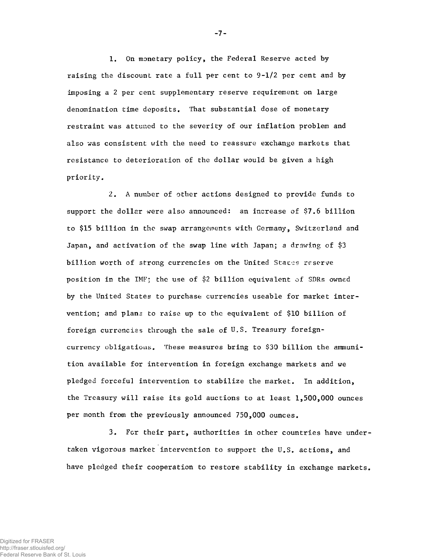1. On monetary policy, the Federal Reserve acted by raising the discount rate a full per cent to 9-1/2 per cent and by imposing a 2 per cent supplementary reserve requirement on large denomination time deposits. That substantial dose of monetary restraint was attuned to the severity of our inflation problem and also was consistent with the need to reassure exchange markets that resistance to deterioration of the dollar would be given a high priority.

2. A number of other actions designed to provide funds to support the dollar were also announced: an increase of \$7.6 billion to \$15 billion in the swap arrangements with Germany, Switzerland and Japan, and activation of the swap line with Japan; a drawing of \$3 billion worth of strong currencies on the United Staces reserve position in the IMF; the use of \$2 billion equivalent of SDRs owned by the United States to purchase currencies useable for market intervention; and plans to raise up to the equivalent of \$10 billion of foreign currencies through the sale of U.S. Treasury foreigncurrency obligations. These measures bring to \$30 billion the ammunition available for intervention in foreign exchange markets and we pledged forceful intervention to stabilize the market. In addition, the Treasury will raise its gold auctions to at least 1,500,000 ounces per month from the previously announced 750,000 ounces.

3. For their part, authorities in other countries have undertaken vigorous market intervention to support the U.S. actions, and have pledged their cooperation to restore stability in exchange markets.

-7-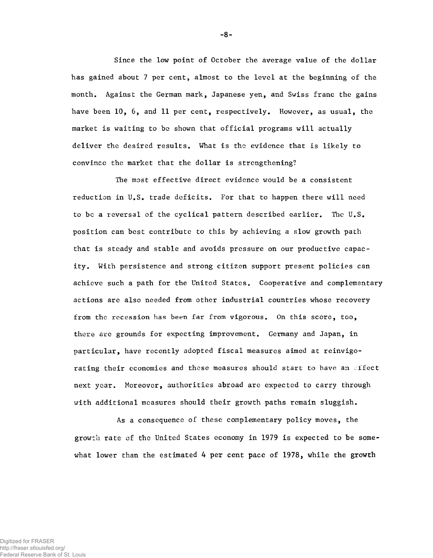Since the low point of October the average value of the dollar has gained about 7 per cent, almost to the level at the beginning of the month. Against the German mark, Japanese yen, and Swiss franc the gains have been 10, 6, and 11 per cent, respectively. However, as usual, the market is waiting to be shown that official programs will actually deliver the desired results. What is the evidence that is likely to convince the market that the dollar is strengthening?

The most effective direct evidence would be a consistent reduction in U.S. trade deficits. For that to happen there will need to be a reversal of the cyclical pattern described earlier. The U.S. position can best contribute to this by achieving a slow growth path that is steady and stable and avoids pressure on our productive capacity. With persistence and strong citizen support present policies can achieve such a path for the United States. Cooperative and complementary actions are also needed from other industrial countries whose recovery from the recession has been far from vigorous. On this score, too, there are grounds for expecting improvement. Germany and Japan, in particular, have recently adopted fiscal measures aimed at reinvigorating their economies and these measures should start to have an effect next year. Moreover, authorities abroad are expected to carry through with additional measures should their growth paths remain sluggish.

As a consequence of these complementary policy moves, the growth rate of the United States economy in 1979 is expected to be somewhat lower than the estimated 4 per cent pace of 1978, while the growth

-8-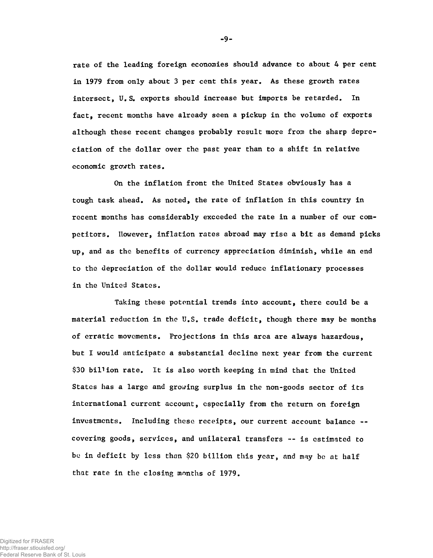rate of the leading foreign economies should advance to about 4 per cent in 1979 from only about 3 per cent this year. As these growth rates intersect, U. S. exports should increase but imports be retarded. In fact, recent months have already seen a pickup in the volume of exports although these recent changes probably result more from the sharp depreciation of the dollar over the past year than to a shift in relative economic growth rates.

On the inflation front the United States obviously has a tough task ahead. As noted, the rate of inflation in this country in recent months has considerably exceeded the rate in a number of our competitors. However, inflation rates abroad may rise a bit as demand picks up, and as the benefits of currency appreciation diminish, while an end to the depreciation of the dollar would reduce inflationary processes in the United States.

Taking these potential trends into account, there could be a material reduction in the U.S. trade deficit, though there may be months of erratic movements. Projections in this area are always hazardous, but I would anticipate a substantial decline next year from the current \$30 billion rate. It is also worth keeping in mind that the United States has a large and growing surplus in the non-goods sector of its international current account, especially from the return on foreign investments. Including these receipts, our current account balance - covering goods, services, and unilateral transfers — is estimated to be in deficit by less than \$20 billion this year, and may be at half that rate in the closing months of 1979.

**- 9-**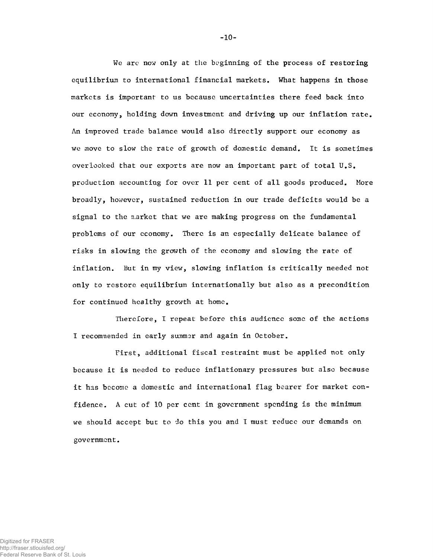We are now only at the beginning of the process of restoring equilibrium to international financial markets. What happens in those markets is important to us because uncertainties there feed back into our economy, holding down investment and driving up our inflation rate. An improved trade balance would also directly support our economy as we move to slow the rate of growth of domestic demand. It is sometimes overlooked that our exports are now an important part of total U.S. production accounting for over 11 per cent of all goods produced. More broadly, however, sustained reduction in our trade deficits would be a signal to the n.arket that we are making progress on the fundamental problems of our economy. There is an especially delicate balance of risks in slowing the growth of the economy and slowing the rate of inflation. But in my view, slowing inflation is critically needed not only to restore equilibrium internationally but also as a precondition for continued healthy growth at home.

Therefore, I repeat before this audience some of the actions I recommended in early summer and again in October.

First, additional fiscal restraint must be applied not only because it is needed to reduce inflationary pressures but also because it has become a domestic and international flag bearer for market confidence. A cut of 10 per cent in government spending is the minimum we should accept but to do this you and I must reduce our demands on government.

**-1 0 -**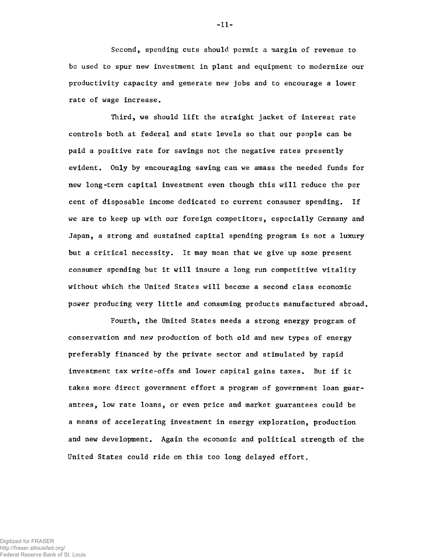Second, spending cuts should permit a margin of revenue to be used to spur new investment in plant and equipment to modernize our productivity capacity and generate new jobs and to encourage a lower rate of wage increase.

Third, we should lift the straight jacket of interest rate controls both at federal and state levels so that our people can be paid a positive rate for savings not the negative rates presently evident. Only by encouraging saving can we amass the needed funds for new long-term capital investment even though this will reduce the per cent of disposable income dedicated to current consumer spending. If we are to keep up with our foreign competitors, especially Germany and Japan, a strong and sustained capital spending program is not a luxury but a critical necessity. It may mean that we give up some present consumer spending but it will insure a long run competitive vitality without which the United States will become a second class economic power producing very little and consuming products manufactured abroad.

Fourth, the United States needs a strong energy program of conservation and new production of both old and new types of energy preferably financed by the private sector and stimulated by rapid investment tax write-offs and lower capital gains taxes. But if it takes more direct government effort a program of government loan guarantees, low rate loans, or even price and market guarantees could be a means of accelerating investment in energy exploration, production and new development. Again the economic and political strength of the United States could ride on this too long delayed effort.

**- 1 1 -**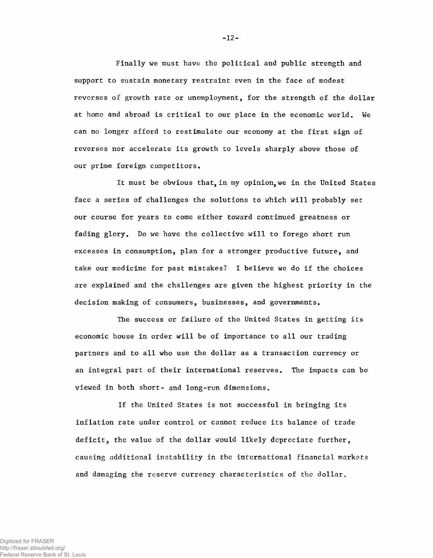Finally we must have the political and public strength and support to sustain monetary restraint even in the face of modest reverses of growth rate or unemployment, for the strength of the dollar at home and abroad is critical to our place in the economic world. We can no longer afford to restimulate our economy at the first sign of reverses nor accelerate its growth to levels sharply above those of our prime foreign competitors.

It must be obvious that, in my opinion, we in the United States face a series of challenges the solutions to which will probably set our course for years to come either toward continued greatness or fading glory. Do we have the collective will to forego short run excesses in consumption, plan for a stronger productive future, and take our medicine for past mistakes? I believe we do if the choices are explained and the challenges are given the highest priority in the decision making of consumers, businesses, and governments.

The success or failure of the United States in getting its economic house in order will be of importance to all our trading partners and to all who use the dollar as a transaction currency or an integral part of their international reserves. The impacts can be viewed in both short- and long-run dimensions.

If the United States is not successful in bringing its inflation rate under control or cannot reduce its balance of trade deficit, the value of the dollar would likely depreciate further, causing additional instability in the international financial markets and damaging the reserve currency characteristics of the dollar.

 $-12-$